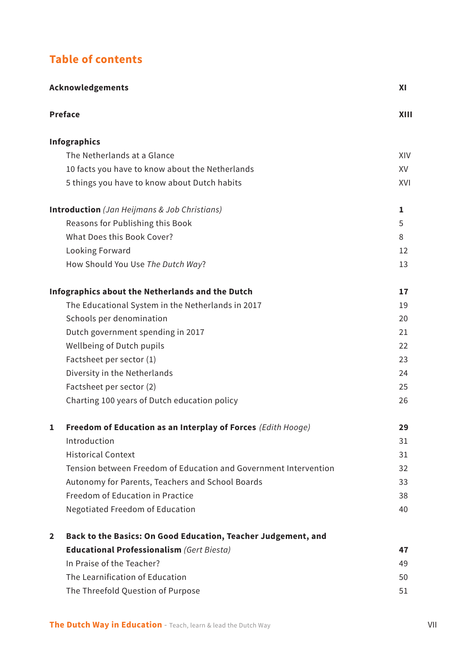## **Table of contents**

| Acknowledgements                                                   |      |
|--------------------------------------------------------------------|------|
| <b>Preface</b>                                                     | XIII |
| <b>Infographics</b>                                                |      |
| The Netherlands at a Glance                                        | XIV  |
| 10 facts you have to know about the Netherlands                    | XV   |
| 5 things you have to know about Dutch habits                       | XVI  |
| <b>Introduction</b> (Jan Heijmans & Job Christians)                | 1    |
| Reasons for Publishing this Book                                   | 5    |
| What Does this Book Cover?                                         | 8    |
| Looking Forward                                                    | 12   |
| How Should You Use The Dutch Way?                                  | 13   |
| Infographics about the Netherlands and the Dutch                   | 17   |
| The Educational System in the Netherlands in 2017                  | 19   |
| Schools per denomination                                           | 20   |
| Dutch government spending in 2017                                  | 21   |
| Wellbeing of Dutch pupils                                          | 22   |
| Factsheet per sector (1)                                           | 23   |
| Diversity in the Netherlands                                       | 24   |
| Factsheet per sector (2)                                           | 25   |
| Charting 100 years of Dutch education policy                       | 26   |
| Freedom of Education as an Interplay of Forces (Edith Hooge)<br>1  | 29   |
| Introduction                                                       | 31   |
| <b>Historical Context</b>                                          | 31   |
| Tension between Freedom of Education and Government Intervention   | 32   |
| Autonomy for Parents, Teachers and School Boards                   | 33   |
| Freedom of Education in Practice                                   | 38   |
| Negotiated Freedom of Education                                    | 40   |
| Back to the Basics: On Good Education, Teacher Judgement, and<br>2 |      |
| <b>Educational Professionalism (Gert Biesta)</b>                   | 47   |
| In Praise of the Teacher?                                          | 49   |
| The Learnification of Education                                    | 50   |
| The Threefold Question of Purpose                                  | 51   |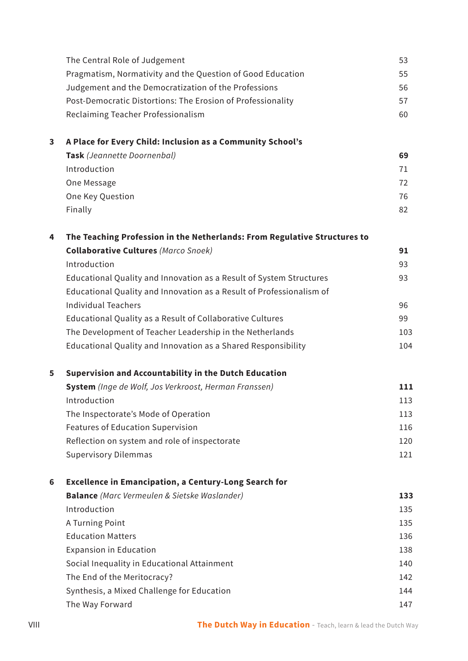|   | The Central Role of Judgement                                             | 53  |
|---|---------------------------------------------------------------------------|-----|
|   | Pragmatism, Normativity and the Question of Good Education                | 55  |
|   | Judgement and the Democratization of the Professions                      | 56  |
|   | Post-Democratic Distortions: The Erosion of Professionality               | 57  |
|   | Reclaiming Teacher Professionalism                                        | 60  |
| 3 | A Place for Every Child: Inclusion as a Community School's                |     |
|   | Task (Jeannette Doornenbal)                                               | 69  |
|   | Introduction                                                              | 71  |
|   | One Message                                                               | 72  |
|   | One Key Question                                                          | 76  |
|   | Finally                                                                   | 82  |
| 4 | The Teaching Profession in the Netherlands: From Regulative Structures to |     |
|   | <b>Collaborative Cultures (Marco Snoek)</b>                               | 91  |
|   | Introduction                                                              | 93  |
|   | Educational Quality and Innovation as a Result of System Structures       | 93  |
|   | Educational Quality and Innovation as a Result of Professionalism of      |     |
|   | <b>Individual Teachers</b>                                                | 96  |
|   | Educational Quality as a Result of Collaborative Cultures                 | 99  |
|   | The Development of Teacher Leadership in the Netherlands                  | 103 |
|   | Educational Quality and Innovation as a Shared Responsibility             | 104 |
| 5 | Supervision and Accountability in the Dutch Education                     |     |
|   | System (Inge de Wolf, Jos Verkroost, Herman Franssen)                     | 111 |
|   | Introduction                                                              | 113 |
|   | The Inspectorate's Mode of Operation                                      | 113 |
|   | Features of Education Supervision                                         | 116 |
|   | Reflection on system and role of inspectorate                             | 120 |
|   | <b>Supervisory Dilemmas</b>                                               | 121 |
| 6 | <b>Excellence in Emancipation, a Century-Long Search for</b>              |     |
|   | <b>Balance</b> (Marc Vermeulen & Sietske Waslander)                       | 133 |
|   | Introduction                                                              | 135 |
|   | A Turning Point                                                           | 135 |
|   | <b>Education Matters</b>                                                  | 136 |
|   | <b>Expansion in Education</b>                                             | 138 |
|   | Social Inequality in Educational Attainment                               | 140 |
|   | The End of the Meritocracy?                                               | 142 |
|   | Synthesis, a Mixed Challenge for Education                                | 144 |
|   | The Way Forward                                                           | 147 |